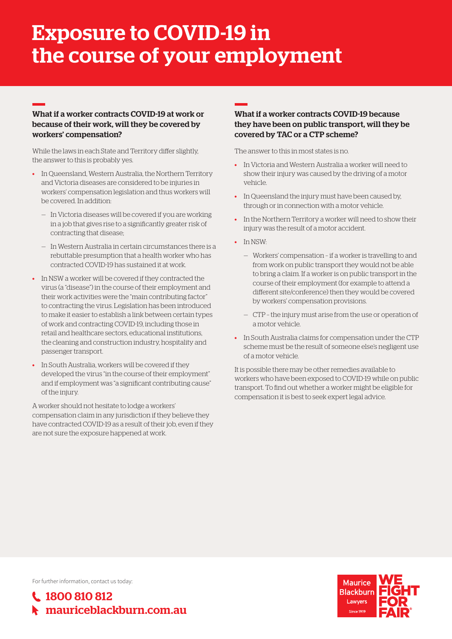# Exposure to COVID-19 in the course of your employment

## What if a worker contracts COVID-19 at work or because of their work, will they be covered by workers' compensation?

While the laws in each State and Territory differ slightly, the answer to this is probably yes.

- In Queensland, Western Australia, the Northern Territory and Victoria diseases are considered to be injuries in workers' compensation legislation and thus workers will be covered. In addition:
	- In Victoria diseases will be covered if you are working in a job that gives rise to a significantly greater risk of contracting that disease;
	- In Western Australia in certain circumstances there is a rebuttable presumption that a health worker who has contracted COVID-19 has sustained it at work.
- In NSW a worker will be covered if they contracted the virus (a "disease") in the course of their employment and their work activities were the "main contributing factor" to contracting the virus. Legislation has been introduced to make it easier to establish a link between certain types of work and contracting COVID-19, including those in retail and healthcare sectors, educational institutions, the cleaning and construction industry, hospitality and passenger transport.
- In South Australia, workers will be covered if they developed the virus "in the course of their employment" and if employment was "a significant contributing cause" of the injury.

A worker should not hesitate to lodge a workers' compensation claim in any jurisdiction if they believe they have contracted COVID-19 as a result of their job, even if they are not sure the exposure happened at work.

### What if a worker contracts COVID-19 because they have been on public transport, will they be covered by TAC or a CTP scheme?

The answer to this in most states is no.

- In Victoria and Western Australia a worker will need to show their injury was caused by the driving of a motor vehicle.
- In Queensland the injury must have been caused by, through or in connection with a motor vehicle.
- In the Northern Territory a worker will need to show their injury was the result of a motor accident.
- In NSW:
	- Workers' compensation if a worker is travelling to and from work on public transport they would not be able to bring a claim. If a worker is on public transport in the course of their employment (for example to attend a different site/conference) then they would be covered by workers' compensation provisions.
	- CTP the injury must arise from the use or operation of a motor vehicle.
- In South Australia claims for compensation under the CTP scheme must be the result of someone else's negligent use of a motor vehicle.

It is possible there may be other remedies available to workers who have been exposed to COVID-19 while on public transport. To find out whether a worker might be eligible for compensation it is best to seek expert legal advice.

For further information, contact us today: